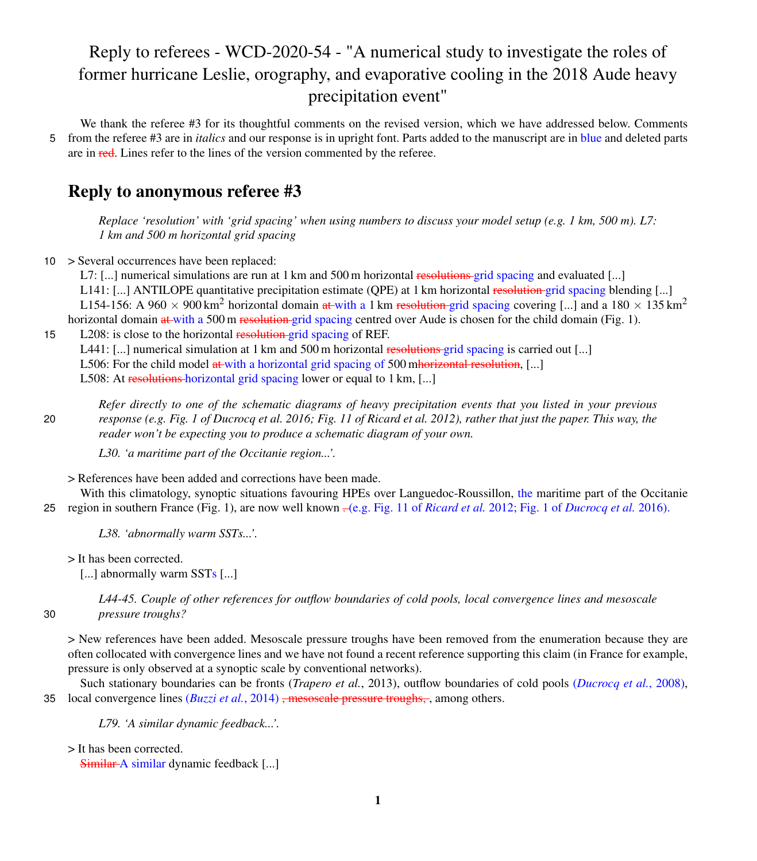## Reply to referees - WCD-2020-54 - "A numerical study to investigate the roles of former hurricane Leslie, orography, and evaporative cooling in the 2018 Aude heavy precipitation event"

We thank the referee #3 for its thoughtful comments on the revised version, which we have addressed below. Comments 5 from the referee #3 are in *italics* and our response is in upright font. Parts added to the manuscript are in blue and deleted parts are in red. Lines refer to the lines of the version commented by the referee.

## Reply to anonymous referee #3

*Replace 'resolution' with 'grid spacing' when using numbers to discuss your model setup (e.g. 1 km, 500 m). L7: 1 km and 500 m horizontal grid spacing*

10 > Several occurrences have been replaced:

L7:  $[\ldots]$  numerical simulations are run at 1 km and 500 m horizontal resolutions grid spacing and evaluated  $[\ldots]$ 

L141: [...] ANTILOPE quantitative precipitation estimate (QPE) at 1 km horizontal resolution grid spacing blending [...] L154-156: A 960  $\times$  900 km<sup>2</sup> horizontal domain at with a 1 km resolution grid spacing covering [...] and a 180  $\times$  135 km<sup>2</sup> horizontal domain at with a 500 m resolution grid spacing centred over Aude is chosen for the child domain (Fig. 1).

## 15 L208: is close to the horizontal resolution-grid spacing of REF.

L441: [...] numerical simulation at 1 km and 500 m horizontal resolutions grid spacing is carried out [...]

L506: For the child model at with a horizontal grid spacing of 500 mhorizontal resolution, [...]

L508: At resolutions horizontal grid spacing lower or equal to 1 km, [...]

*Refer directly to one of the schematic diagrams of heavy precipitation events that you listed in your previous* 20 *response (e.g. Fig. 1 of Ducrocq et al. 2016; Fig. 11 of Ricard et al. 2012), rather that just the paper. This way, the reader won't be expecting you to produce a schematic diagram of your own.*

*L30. 'a maritime part of the Occitanie region...'.*

> References have been added and corrections have been made.

With this climatology, synoptic situations favouring HPEs over Languedoc-Roussillon, the maritime part of the Occitanie 25 region in southern France (Fig. 1), are now well known . (e.g. Fig. 11 of *[Ricard et al.](#page-3-0)* [2012;](#page-3-0) Fig. 1 of *[Ducrocq et al.](#page-3-1)* [2016\)](#page-3-1).

*L38. 'abnormally warm SSTs...'.*

> It has been corrected.

[...] abnormally warm SSTs [...]

*L44-45. Couple of other references for outflow boundaries of cold pools, local convergence lines and mesoscale* 30 *pressure troughs?*

> New references have been added. Mesoscale pressure troughs have been removed from the enumeration because they are often collocated with convergence lines and we have not found a recent reference supporting this claim (in France for example, pressure is only observed at a synoptic scale by conventional networks).

Such stationary boundaries can be fronts (*[Trapero et al.](#page-3-2)*, [2013\)](#page-3-2), outflow boundaries of cold pools (*[Ducrocq et al.](#page-3-3)*, [2008\)](#page-3-3), 35 local convergence lines (*[Buzzi et al.](#page-3-4)*, [2014\)](#page-3-4) , mesoscale pressure troughs, , among others.

*L79. 'A similar dynamic feedback...'.*

> It has been corrected.

Similar A similar dynamic feedback [...]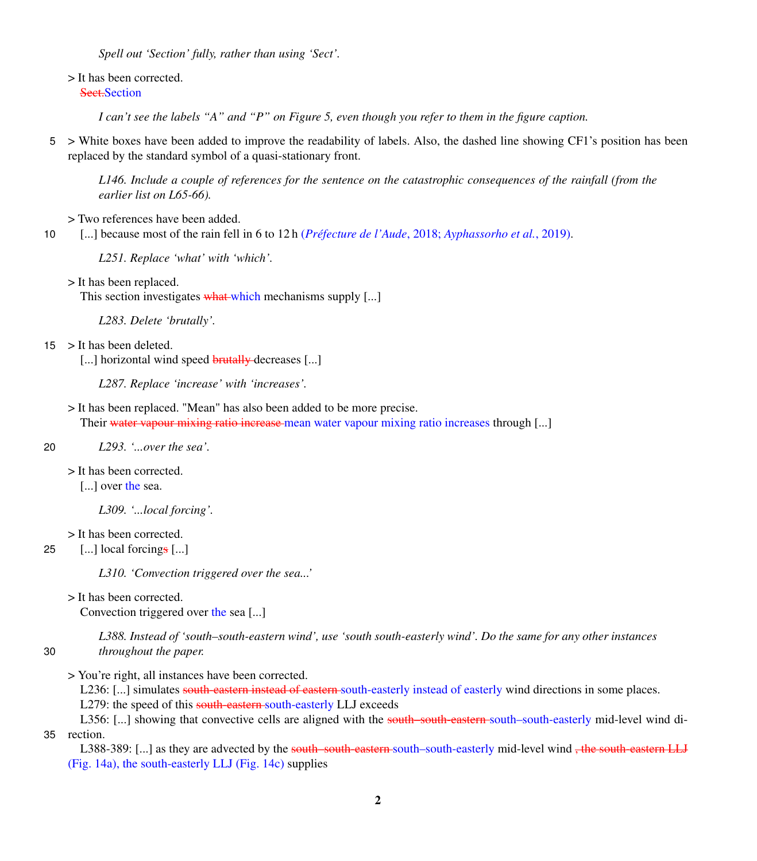*Spell out 'Section' fully, rather than using 'Sect'.*

> It has been corrected.

```
Sect.Section
```
*I can't see the labels "A" and "P" on Figure 5, even though you refer to them in the figure caption.*

5 > White boxes have been added to improve the readability of labels. Also, the dashed line showing CF1's position has been replaced by the standard symbol of a quasi-stationary front.

*L146. Include a couple of references for the sentence on the catastrophic consequences of the rainfall (from the earlier list on L65-66).*

> Two references have been added.

10 [...] because most of the rain fell in 6 to 12 h (*[Préfecture de l'Aude](#page-3-5)*, [2018;](#page-3-5) *[Ayphassorho et al.](#page-3-6)*, [2019\)](#page-3-6).

*L251. Replace 'what' with 'which'.*

> It has been replaced.

This section investigates what which mechanisms supply [...]

*L283. Delete 'brutally'.*

- 15 > It has been deleted.
	- [...] horizontal wind speed **brutally** decreases [...]

*L287. Replace 'increase' with 'increases'.*

> It has been replaced. "Mean" has also been added to be more precise. Their water vapour mixing ratio increase mean water vapour mixing ratio increases through [...]

20 *L293. '...over the sea'.*

> It has been corrected.

[...] over the sea.

*L309. '...local forcing'.*

> It has been corrected.

25  $\left[ \dots \right]$  local forcings  $\left[ \dots \right]$ 

*L310. 'Convection triggered over the sea...'*

> It has been corrected.

Convection triggered over the sea [...]

*L388. Instead of 'south–south-eastern wind', use 'south south-easterly wind'. Do the same for any other instances* 30 *throughout the paper.*

> You're right, all instances have been corrected.

L236: [...] simulates south-eastern instead of eastern south-easterly instead of easterly wind directions in some places. L279: the speed of this south-eastern south-easterly LLJ exceeds

L356: [...] showing that convective cells are aligned with the south-south-eastern south-south-easterly mid-level wind di-35 rection.

L388-389: [...] as they are advected by the south-south-eastern south-easterly mid-level wind , the south-eastern LLJ (Fig. 14a), the south-easterly LLJ (Fig. 14c) supplies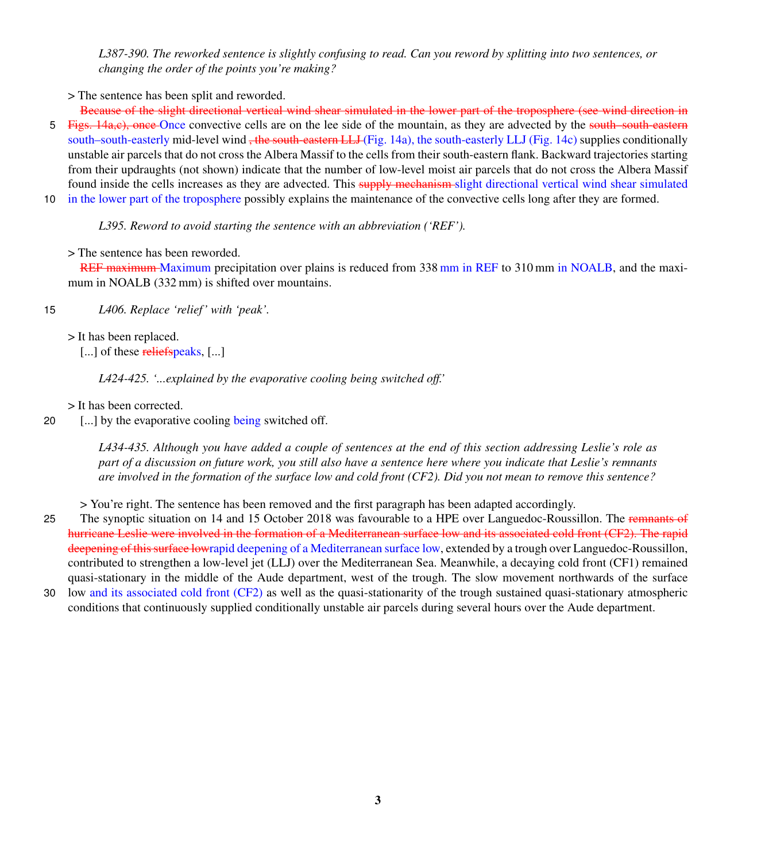*L387-390. The reworked sentence is slightly confusing to read. Can you reword by splitting into two sentences, or changing the order of the points you're making?*

> The sentence has been split and reworded.

Because of the slight directional vertical wind shear simulated in the lower part of the troposphere (see wind direction in 5 Figs. 14a,c), once Once convective cells are on the lee side of the mountain, as they are advected by the south-south-eastern south–south-easterly mid-level wind <del>, the south-eastern LLJ</del> (Fig. 14a), the south-easterly LLJ (Fig. 14c) supplies conditionally unstable air parcels that do not cross the Albera Massif to the cells from their south-eastern flank. Backward trajectories starting from their updraughts (not shown) indicate that the number of low-level moist air parcels that do not cross the Albera Massif found inside the cells increases as they are advected. This supply mechanism slight directional vertical wind shear simulated

10 in the lower part of the troposphere possibly explains the maintenance of the convective cells long after they are formed.

*L395. Reword to avoid starting the sentence with an abbreviation ('REF').*

> The sentence has been reworded.

REF maximum Maximum precipitation over plains is reduced from 338 mm in REF to 310 mm in NOALB, and the maximum in NOALB (332 mm) is shifted over mountains.

15 *L406. Replace 'relief ' with 'peak'.*

> It has been replaced.

[...] of these reliefspeaks, [...]

*L424-425. '...explained by the evaporative cooling being switched off.'*

> It has been corrected.

20 [...] by the evaporative cooling being switched off.

*L434-435. Although you have added a couple of sentences at the end of this section addressing Leslie's role as part of a discussion on future work, you still also have a sentence here where you indicate that Leslie's remnants are involved in the formation of the surface low and cold front (CF2). Did you not mean to remove this sentence?*

> You're right. The sentence has been removed and the first paragraph has been adapted accordingly.

25 The synoptic situation on 14 and 15 October 2018 was favourable to a HPE over Languedoc-Roussillon. The remnants of hurricane Leslie were involved in the formation of a Mediterranean surface low and its associated cold front (CF2). The rapid deepening of thissurface lowrapid deepening of a Mediterranean surface low, extended by a trough over Languedoc-Roussillon, contributed to strengthen a low-level jet (LLJ) over the Mediterranean Sea. Meanwhile, a decaying cold front (CF1) remained quasi-stationary in the middle of the Aude department, west of the trough. The slow movement northwards of the surface 30 low and its associated cold front (CF2) as well as the quasi-stationarity of the trough sustained quasi-stationary atmospheric conditions that continuously supplied conditionally unstable air parcels during several hours over the Aude department.